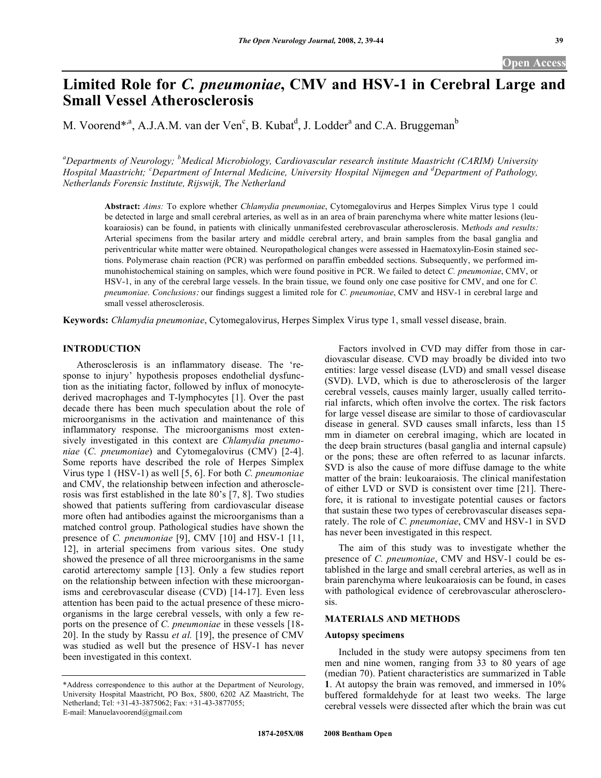# **Limited Role for** *C. pneumoniae***, CMV and HSV-1 in Cerebral Large and Small Vessel Atherosclerosis**

M. Voorend<sup>\*,a</sup>, A.J.A.M. van der Ven<sup>c</sup>, B. Kubat<sup>d</sup>, J. Lodder<sup>a</sup> and C.A. Bruggeman<sup>b</sup>

*a Departments of Neurology; <sup>b</sup> Medical Microbiology, Cardiovascular research institute Maastricht (CARIM) University Hospital Maastricht; <sup>c</sup> Department of Internal Medicine, University Hospital Nijmegen and <sup>d</sup> Department of Pathology, Netherlands Forensic Institute, Rijswijk, The Netherland* 

**Abstract:** *Aims:* To explore whether *Chlamydia pneumoniae*, Cytomegalovirus and Herpes Simplex Virus type 1 could be detected in large and small cerebral arteries, as well as in an area of brain parenchyma where white matter lesions (leukoaraiosis) can be found, in patients with clinically unmanifested cerebrovascular atherosclerosis. M*ethods and results*: Arterial specimens from the basilar artery and middle cerebral artery, and brain samples from the basal ganglia and periventricular white matter were obtained. Neuropathological changes were assessed in Haematoxylin-Eosin stained sections. Polymerase chain reaction (PCR) was performed on paraffin embedded sections. Subsequently, we performed immunohistochemical staining on samples, which were found positive in PCR. We failed to detect *C. pneumoniae*, CMV, or HSV-1, in any of the cerebral large vessels. In the brain tissue, we found only one case positive for CMV, and one for *C. pneumoniae*. *Conclusions*: our findings suggest a limited role for *C. pneumoniae*, CMV and HSV-1 in cerebral large and small vessel atherosclerosis.

**Keywords:** *Chlamydia pneumoniae*, Cytomegalovirus, Herpes Simplex Virus type 1, small vessel disease, brain.

# **INTRODUCTION**

 Atherosclerosis is an inflammatory disease. The 'response to injury' hypothesis proposes endothelial dysfunction as the initiating factor, followed by influx of monocytederived macrophages and T-lymphocytes [1]. Over the past decade there has been much speculation about the role of microorganisms in the activation and maintenance of this inflammatory response. The microorganisms most extensively investigated in this context are *Chlamydia pneumoniae* (*C. pneumoniae*) and Cytomegalovirus (CMV) [2-4]. Some reports have described the role of Herpes Simplex Virus type 1 (HSV-1) as well [5, 6]. For both *C. pneumoniae* and CMV, the relationship between infection and atherosclerosis was first established in the late 80's [7, 8]. Two studies showed that patients suffering from cardiovascular disease more often had antibodies against the microorganisms than a matched control group. Pathological studies have shown the presence of *C. pneumoniae* [9], CMV [10] and HSV-1 [11, 12], in arterial specimens from various sites. One study showed the presence of all three microorganisms in the same carotid arterectomy sample [13]. Only a few studies report on the relationship between infection with these microorganisms and cerebrovascular disease (CVD) [14-17]. Even less attention has been paid to the actual presence of these microorganisms in the large cerebral vessels, with only a few reports on the presence of *C. pneumoniae* in these vessels [18- 20]. In the study by Rassu *et al.* [19], the presence of CMV was studied as well but the presence of HSV-1 has never been investigated in this context.

 Factors involved in CVD may differ from those in cardiovascular disease. CVD may broadly be divided into two entities: large vessel disease (LVD) and small vessel disease (SVD). LVD, which is due to atherosclerosis of the larger cerebral vessels, causes mainly larger, usually called territorial infarcts, which often involve the cortex. The risk factors for large vessel disease are similar to those of cardiovascular disease in general. SVD causes small infarcts, less than 15 mm in diameter on cerebral imaging, which are located in the deep brain structures (basal ganglia and internal capsule) or the pons; these are often referred to as lacunar infarcts. SVD is also the cause of more diffuse damage to the white matter of the brain: leukoaraiosis. The clinical manifestation of either LVD or SVD is consistent over time [21]. Therefore, it is rational to investigate potential causes or factors that sustain these two types of cerebrovascular diseases separately. The role of *C. pneumoniae*, CMV and HSV-1 in SVD has never been investigated in this respect.

 The aim of this study was to investigate whether the presence of *C. pneumoniae*, CMV and HSV-1 could be established in the large and small cerebral arteries, as well as in brain parenchyma where leukoaraiosis can be found, in cases with pathological evidence of cerebrovascular atherosclerosis.

# **MATERIALS AND METHODS**

#### **Autopsy specimens**

 Included in the study were autopsy specimens from ten men and nine women, ranging from 33 to 80 years of age (median 70). Patient characteristics are summarized in Table **1**. At autopsy the brain was removed, and immersed in 10% buffered formaldehyde for at least two weeks. The large cerebral vessels were dissected after which the brain was cut

<sup>\*</sup>Address correspondence to this author at the Department of Neurology, University Hospital Maastricht, PO Box, 5800, 6202 AZ Maastricht, The Netherland; Tel: +31-43-3875062; Fax: +31-43-3877055; E-mail: Manuelavoorend@gmail.com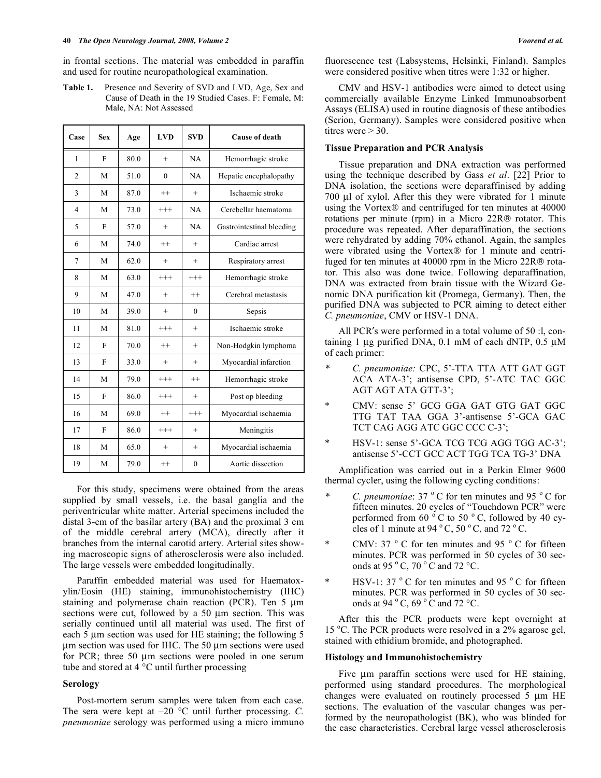in frontal sections. The material was embedded in paraffin and used for routine neuropathological examination.

**Table 1.** Presence and Severity of SVD and LVD, Age, Sex and Cause of Death in the 19 Studied Cases. F: Female, M: Male, NA: Not Assessed

| Case           | <b>Sex</b> | Age  | LVD      | <b>SVD</b>   | Cause of death            |
|----------------|------------|------|----------|--------------|---------------------------|
| $\mathbf{1}$   | F          | 80.0 | $^{+}$   | NA           | Hemorrhagic stroke        |
| $\overline{2}$ | M          | 51.0 | $\theta$ | NA           | Hepatic encephalopathy    |
| 3              | M          | 87.0 | $^{++}$  | $^{+}$       | Ischaemic stroke          |
| $\overline{4}$ | M          | 73.0 | $^{+++}$ | NA           | Cerebellar haematoma      |
| 5              | F          | 57.0 | $^{+}$   | NA           | Gastrointestinal bleeding |
| 6              | M          | 74.0 | $^{++}$  | $^{+}$       | Cardiac arrest            |
| $\tau$         | M          | 62.0 | $^{+}$   | $+$          | Respiratory arrest        |
| 8              | M          | 63.0 | $^{+++}$ | $^{+++}$     | Hemorrhagic stroke        |
| 9              | M          | 47.0 | $^{+}$   | $^{++}$      | Cerebral metastasis       |
| 10             | M          | 39.0 | $^{+}$   | $\theta$     | Sepsis                    |
| 11             | M          | 81.0 | $^{+++}$ | $^{+}$       | Ischaemic stroke          |
| 12             | F          | 70.0 | $^{++}$  | $^{+}$       | Non-Hodgkin lymphoma      |
| 13             | F          | 33.0 | $^{+}$   | $^{+}$       | Myocardial infarction     |
| 14             | M          | 79.0 | $^{+++}$ | $^{++}$      | Hemorrhagic stroke        |
| 15             | F          | 86.0 | $^{+++}$ | $^{+}$       | Post op bleeding          |
| 16             | M          | 69.0 | $^{++}$  | $^{+++}$     | Myocardial ischaemia      |
| 17             | F          | 86.0 | $^{+++}$ | $^{+}$       | Meningitis                |
| 18             | M          | 65.0 | $^{+}$   | $^{+}$       | Myocardial ischaemia      |
| 19             | M          | 79.0 | $^{++}$  | $\mathbf{0}$ | Aortic dissection         |

 For this study, specimens were obtained from the areas supplied by small vessels, i.e. the basal ganglia and the periventricular white matter. Arterial specimens included the distal 3-cm of the basilar artery (BA) and the proximal 3 cm of the middle cerebral artery (MCA), directly after it branches from the internal carotid artery. Arterial sites showing macroscopic signs of atherosclerosis were also included. The large vessels were embedded longitudinally.

 Paraffin embedded material was used for Haematoxylin/Eosin (HE) staining, immunohistochemistry (IHC) staining and polymerase chain reaction (PCR). Ten 5 μm sections were cut, followed by a 50 μm section. This was serially continued until all material was used. The first of each 5 μm section was used for HE staining; the following 5 μm section was used for IHC. The 50 μm sections were used for PCR; three 50 μm sections were pooled in one serum tube and stored at 4 °C until further processing

### **Serology**

 Post-mortem serum samples were taken from each case. The sera were kept at –20 °C until further processing. *C. pneumoniae* serology was performed using a micro immuno fluorescence test (Labsystems, Helsinki, Finland). Samples were considered positive when titres were 1:32 or higher.

 CMV and HSV-1 antibodies were aimed to detect using commercially available Enzyme Linked Immunoabsorbent Assays (ELISA) used in routine diagnosis of these antibodies (Serion, Germany). Samples were considered positive when titres were  $>$  30.

#### **Tissue Preparation and PCR Analysis**

 Tissue preparation and DNA extraction was performed using the technique described by Gass *et al*. [22] Prior to DNA isolation, the sections were deparaffinised by adding 700 μl of xylol. After this they were vibrated for 1 minute using the Vortex® and centrifuged for ten minutes at 40000 rotations per minute (rpm) in a Micro 22R® rotator. This procedure was repeated. After deparaffination, the sections were rehydrated by adding 70% ethanol. Again, the samples were vibrated using the Vortex<sup>®</sup> for 1 minute and centrifuged for ten minutes at 40000 rpm in the Micro 22R® rotator. This also was done twice. Following deparaffination, DNA was extracted from brain tissue with the Wizard Genomic DNA purification kit (Promega, Germany). Then, the purified DNA was subjected to PCR aiming to detect either *C. pneumoniae*, CMV or HSV-1 DNA.

All PCR's were performed in a total volume of 50 :1, containing 1 μg purified DNA, 0.1 mM of each dNTP, 0.5 μM of each primer:

- *\* C. pneumoniae:* CPC, 5'-TTA TTA ATT GAT GGT ACA ATA-3'; antisense CPD, 5'-ATC TAC GGC AGT AGT ATA GTT-3';
- CMV: sense 5' GCG GGA GAT GTG GAT GGC TTG TAT TAA GGA 3'-antisense 5'-GCA GAC TCT CAG AGG ATC GGC CCC C-3';
- \* HSV-1: sense 5'-GCA TCG TCG AGG TGG AC-3'; antisense 5'-CCT GCC ACT TGG TCA TG-3' DNA

 Amplification was carried out in a Perkin Elmer 9600 thermal cycler, using the following cycling conditions:

- *\* C. pneumoniae*: 37 °C for ten minutes and 95 °C for fifteen minutes. 20 cycles of "Touchdown PCR" were performed from 60  $\degree$  C to 50  $\degree$  C, followed by 40 cycles of 1 minute at 94  $\degree$  C, 50  $\degree$  C, and 72  $\degree$  C.
- CMV: 37  $\degree$  C for ten minutes and 95  $\degree$  C for fifteen minutes. PCR was performed in 50 cycles of 30 seconds at 95  $\degree$  C, 70  $\degree$  C and 72  $\degree$ C.
- \* HSV-1: 37  $\degree$  C for ten minutes and 95  $\degree$  C for fifteen minutes. PCR was performed in 50 cycles of 30 seconds at 94  $\degree$  C, 69  $\degree$  C and 72  $\degree$ C.

 After this the PCR products were kept overnight at 15 °C. The PCR products were resolved in a 2% agarose gel, stained with ethidium bromide, and photographed.

#### **Histology and Immunohistochemistry**

 Five μm paraffin sections were used for HE staining, performed using standard procedures. The morphological changes were evaluated on routinely processed 5 μm HE sections. The evaluation of the vascular changes was performed by the neuropathologist (BK), who was blinded for the case characteristics. Cerebral large vessel atherosclerosis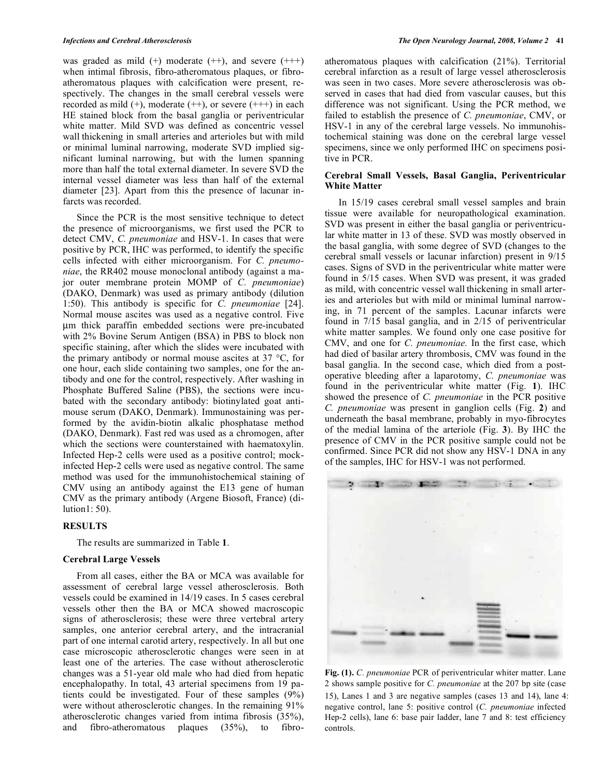was graded as mild  $(+)$  moderate  $(++)$ , and severe  $(++)$ when intimal fibrosis, fibro-atheromatous plaques, or fibroatheromatous plaques with calcification were present, respectively. The changes in the small cerebral vessels were recorded as mild  $(+)$ , moderate  $(++)$ , or severe  $(++)$  in each HE stained block from the basal ganglia or periventricular white matter. Mild SVD was defined as concentric vessel wall thickening in small arteries and arterioles but with mild or minimal luminal narrowing, moderate SVD implied significant luminal narrowing, but with the lumen spanning more than half the total external diameter. In severe SVD the internal vessel diameter was less than half of the external diameter [23]. Apart from this the presence of lacunar infarcts was recorded.

 Since the PCR is the most sensitive technique to detect the presence of microorganisms, we first used the PCR to detect CMV, *C. pneumoniae* and HSV-1. In cases that were positive by PCR, IHC was performed, to identify the specific cells infected with either microorganism. For *C. pneumoniae*, the RR402 mouse monoclonal antibody (against a major outer membrane protein MOMP of *C. pneumoniae*) (DAKO, Denmark) was used as primary antibody (dilution 1:50). This antibody is specific for *C. pneumoniae* [24]. Normal mouse ascites was used as a negative control. Five μm thick paraffin embedded sections were pre-incubated with 2% Bovine Serum Antigen (BSA) in PBS to block non specific staining, after which the slides were incubated with the primary antibody or normal mouse ascites at 37 °C, for one hour, each slide containing two samples, one for the antibody and one for the control, respectively. After washing in Phosphate Buffered Saline (PBS), the sections were incubated with the secondary antibody: biotinylated goat antimouse serum (DAKO, Denmark). Immunostaining was performed by the avidin-biotin alkalic phosphatase method (DAKO, Denmark). Fast red was used as a chromogen, after which the sections were counterstained with haematoxylin. Infected Hep-2 cells were used as a positive control; mockinfected Hep-2 cells were used as negative control. The same method was used for the immunohistochemical staining of CMV using an antibody against the E13 gene of human CMV as the primary antibody (Argene Biosoft, France) (dilution1: 50).

### **RESULTS**

The results are summarized in Table **1**.

#### **Cerebral Large Vessels**

 From all cases, either the BA or MCA was available for assessment of cerebral large vessel atherosclerosis. Both vessels could be examined in 14/19 cases. In 5 cases cerebral vessels other then the BA or MCA showed macroscopic signs of atherosclerosis; these were three vertebral artery samples, one anterior cerebral artery, and the intracranial part of one internal carotid artery, respectively. In all but one case microscopic atherosclerotic changes were seen in at least one of the arteries. The case without atherosclerotic changes was a 51-year old male who had died from hepatic encephalopathy. In total, 43 arterial specimens from 19 patients could be investigated. Four of these samples (9%) were without atherosclerotic changes. In the remaining 91% atherosclerotic changes varied from intima fibrosis (35%), and fibro-atheromatous plaques (35%), to fibroatheromatous plaques with calcification (21%). Territorial cerebral infarction as a result of large vessel atherosclerosis was seen in two cases. More severe atherosclerosis was observed in cases that had died from vascular causes, but this difference was not significant. Using the PCR method, we failed to establish the presence of *C. pneumoniae*, CMV, or HSV-1 in any of the cerebral large vessels. No immunohistochemical staining was done on the cerebral large vessel specimens, since we only performed IHC on specimens positive in PCR.

# **Cerebral Small Vessels, Basal Ganglia, Periventricular White Matter**

 In 15/19 cases cerebral small vessel samples and brain tissue were available for neuropathological examination. SVD was present in either the basal ganglia or periventricular white matter in 13 of these. SVD was mostly observed in the basal ganglia, with some degree of SVD (changes to the cerebral small vessels or lacunar infarction) present in 9/15 cases. Signs of SVD in the periventricular white matter were found in 5/15 cases. When SVD was present, it was graded as mild, with concentric vessel wall thickening in small arteries and arterioles but with mild or minimal luminal narrowing, in 71 percent of the samples. Lacunar infarcts were found in 7/15 basal ganglia, and in 2/15 of periventricular white matter samples. We found only one case positive for CMV, and one for *C. pneumoniae.* In the first case, which had died of basilar artery thrombosis, CMV was found in the basal ganglia. In the second case, which died from a postoperative bleeding after a laparotomy, *C. pneumoniae* was found in the periventricular white matter (Fig. **1**). IHC showed the presence of *C. pneumoniae* in the PCR positive *C. pneumoniae* was present in ganglion cells (Fig. **2**) and underneath the basal membrane, probably in myo-fibrocytes of the medial lamina of the arteriole (Fig. **3**). By IHC the presence of CMV in the PCR positive sample could not be confirmed. Since PCR did not show any HSV-1 DNA in any of the samples, IHC for HSV-1 was not performed.



**Fig. (1).** *C. pneumoniae* PCR of periventricular whiter matter. Lane 2 shows sample positive for *C. pneumoniae* at the 207 bp site (case 15), Lanes 1 and 3 are negative samples (cases 13 and 14), lane 4: negative control, lane 5: positive control (*C. pneumoniae* infected Hep-2 cells), lane 6: base pair ladder, lane 7 and 8: test efficiency controls.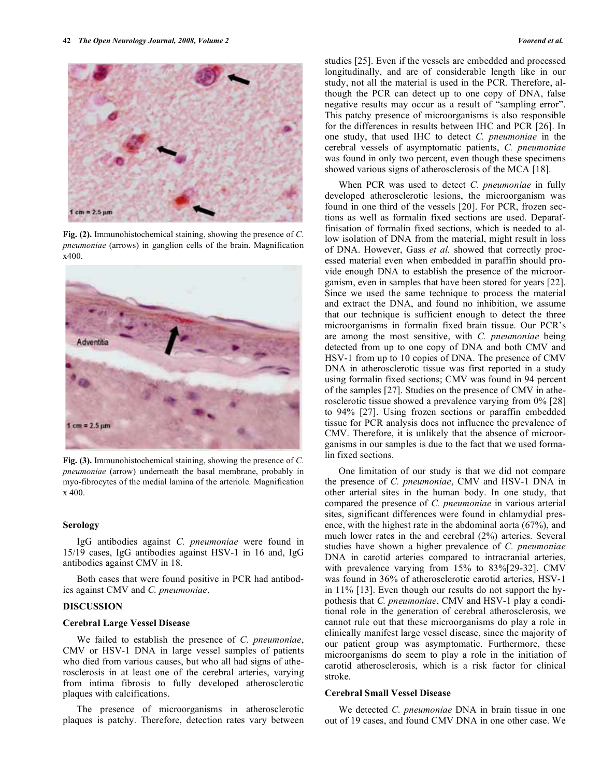

**Fig. (2).** Immunohistochemical staining, showing the presence of *C. pneumoniae* (arrows) in ganglion cells of the brain. Magnification x400.



**Fig. (3).** Immunohistochemical staining, showing the presence of *C. pneumoniae* (arrow) underneath the basal membrane, probably in myo-fibrocytes of the medial lamina of the arteriole. Magnification x 400.

# **Serology**

 IgG antibodies against *C. pneumoniae* were found in 15/19 cases, IgG antibodies against HSV-1 in 16 and, IgG antibodies against CMV in 18.

 Both cases that were found positive in PCR had antibodies against CMV and *C. pneumoniae*.

#### **DISCUSSION**

#### **Cerebral Large Vessel Disease**

 We failed to establish the presence of *C. pneumoniae*, CMV or HSV-1 DNA in large vessel samples of patients who died from various causes, but who all had signs of atherosclerosis in at least one of the cerebral arteries, varying from intima fibrosis to fully developed atherosclerotic plaques with calcifications.

 The presence of microorganisms in atherosclerotic plaques is patchy. Therefore, detection rates vary between studies [25]. Even if the vessels are embedded and processed longitudinally, and are of considerable length like in our study, not all the material is used in the PCR. Therefore, although the PCR can detect up to one copy of DNA, false negative results may occur as a result of "sampling error". This patchy presence of microorganisms is also responsible for the differences in results between IHC and PCR [26]. In one study, that used IHC to detect *C. pneumoniae* in the cerebral vessels of asymptomatic patients, *C. pneumoniae* was found in only two percent, even though these specimens showed various signs of atherosclerosis of the MCA [18].

 When PCR was used to detect *C. pneumoniae* in fully developed atherosclerotic lesions, the microorganism was found in one third of the vessels [20]. For PCR, frozen sections as well as formalin fixed sections are used. Deparaffinisation of formalin fixed sections, which is needed to allow isolation of DNA from the material, might result in loss of DNA. However, Gass *et al.* showed that correctly processed material even when embedded in paraffin should provide enough DNA to establish the presence of the microorganism, even in samples that have been stored for years [22]. Since we used the same technique to process the material and extract the DNA, and found no inhibition, we assume that our technique is sufficient enough to detect the three microorganisms in formalin fixed brain tissue. Our PCR's are among the most sensitive, with *C. pneumoniae* being detected from up to one copy of DNA and both CMV and HSV-1 from up to 10 copies of DNA. The presence of CMV DNA in atherosclerotic tissue was first reported in a study using formalin fixed sections; CMV was found in 94 percent of the samples [27]. Studies on the presence of CMV in atherosclerotic tissue showed a prevalence varying from 0% [28] to 94% [27]. Using frozen sections or paraffin embedded tissue for PCR analysis does not influence the prevalence of CMV. Therefore, it is unlikely that the absence of microorganisms in our samples is due to the fact that we used formalin fixed sections.

 One limitation of our study is that we did not compare the presence of *C. pneumoniae*, CMV and HSV-1 DNA in other arterial sites in the human body. In one study, that compared the presence of *C. pneumoniae* in various arterial sites, significant differences were found in chlamydial presence, with the highest rate in the abdominal aorta (67%), and much lower rates in the and cerebral (2%) arteries. Several studies have shown a higher prevalence of *C. pneumoniae* DNA in carotid arteries compared to intracranial arteries, with prevalence varying from 15% to 83%[29-32]. CMV was found in 36% of atherosclerotic carotid arteries, HSV-1 in 11% [13]. Even though our results do not support the hypothesis that *C. pneumoniae*, CMV and HSV-1 play a conditional role in the generation of cerebral atherosclerosis, we cannot rule out that these microorganisms do play a role in clinically manifest large vessel disease, since the majority of our patient group was asymptomatic. Furthermore, these microorganisms do seem to play a role in the initiation of carotid atherosclerosis, which is a risk factor for clinical stroke.

#### **Cerebral Small Vessel Disease**

 We detected *C. pneumoniae* DNA in brain tissue in one out of 19 cases, and found CMV DNA in one other case. We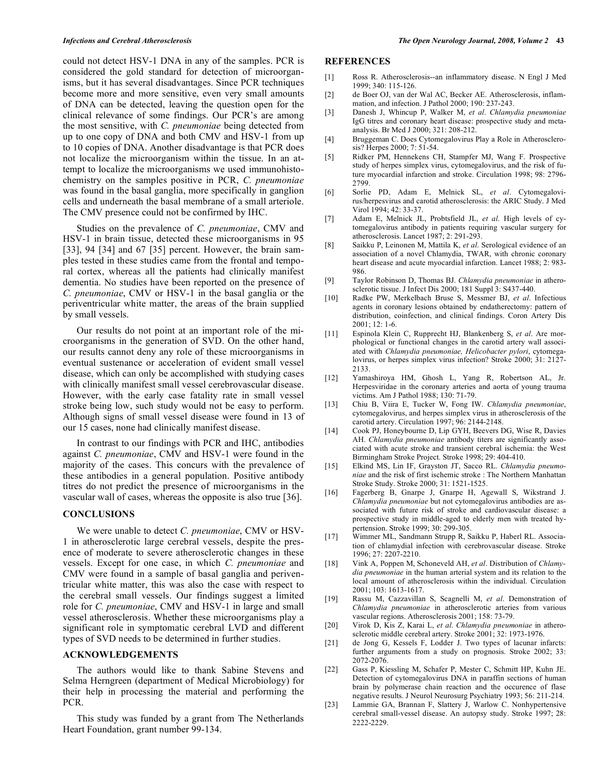could not detect HSV-1 DNA in any of the samples. PCR is considered the gold standard for detection of microorganisms, but it has several disadvantages. Since PCR techniques become more and more sensitive, even very small amounts of DNA can be detected, leaving the question open for the clinical relevance of some findings. Our PCR's are among the most sensitive, with *C. pneumoniae* being detected from up to one copy of DNA and both CMV and HSV-1 from up to 10 copies of DNA. Another disadvantage is that PCR does not localize the microorganism within the tissue. In an attempt to localize the microorganisms we used immunohistochemistry on the samples positive in PCR, *C. pneumoniae* was found in the basal ganglia, more specifically in ganglion cells and underneath the basal membrane of a small arteriole. The CMV presence could not be confirmed by IHC.

 Studies on the prevalence of *C. pneumoniae*, CMV and HSV-1 in brain tissue, detected these microorganisms in 95 [33], 94 [34] and 67 [35] percent. However, the brain samples tested in these studies came from the frontal and temporal cortex, whereas all the patients had clinically manifest dementia. No studies have been reported on the presence of *C. pneumoniae*, CMV or HSV-1 in the basal ganglia or the periventricular white matter, the areas of the brain supplied by small vessels.

 Our results do not point at an important role of the microorganisms in the generation of SVD. On the other hand, our results cannot deny any role of these microorganisms in eventual sustenance or acceleration of evident small vessel disease, which can only be accomplished with studying cases with clinically manifest small vessel cerebrovascular disease. However, with the early case fatality rate in small vessel stroke being low, such study would not be easy to perform. Although signs of small vessel disease were found in 13 of our 15 cases, none had clinically manifest disease.

 In contrast to our findings with PCR and IHC, antibodies against *C. pneumoniae*, CMV and HSV-1 were found in the majority of the cases. This concurs with the prevalence of these antibodies in a general population. Positive antibody titres do not predict the presence of microorganisms in the vascular wall of cases, whereas the opposite is also true [36].

# **CONCLUSIONS**

 We were unable to detect *C. pneumoniae*, CMV or HSV-1 in atherosclerotic large cerebral vessels, despite the presence of moderate to severe atherosclerotic changes in these vessels. Except for one case, in which *C. pneumoniae* and CMV were found in a sample of basal ganglia and periventricular white matter, this was also the case with respect to the cerebral small vessels. Our findings suggest a limited role for *C. pneumoniae*, CMV and HSV-1 in large and small vessel atherosclerosis. Whether these microorganisms play a significant role in symptomatic cerebral LVD and different types of SVD needs to be determined in further studies.

# **ACKNOWLEDGEMENTS**

 The authors would like to thank Sabine Stevens and Selma Herngreen (department of Medical Microbiology) for their help in processing the material and performing the PCR.

 This study was funded by a grant from The Netherlands Heart Foundation, grant number 99-134.

#### **REFERENCES**

- [1] Ross R. Atherosclerosis--an inflammatory disease. N Engl J Med 1999; 340: 115-126.
- [2] de Boer OJ, van der Wal AC, Becker AE. Atherosclerosis, inflammation, and infection. J Pathol 2000; 190: 237-243.
- [3] Danesh J, Whincup P, Walker M, *et al*. *Chlamydia pneumoniae*  IgG titres and coronary heart disease: prospective study and metaanalysis. Br Med J 2000; 321: 208-212.
- [4] Bruggeman C. Does Cytomegalovirus Play a Role in Atherosclerosis? Herpes 2000; 7: 51-54.
- [5] Ridker PM, Hennekens CH, Stampfer MJ, Wang F. Prospective study of herpes simplex virus, cytomegalovirus, and the risk of future myocardial infarction and stroke. Circulation 1998; 98: 2796- 2799.
- [6] Sorlie PD, Adam E, Melnick SL, *et al*. Cytomegalovirus/herpesvirus and carotid atherosclerosis: the ARIC Study. J Med Virol 1994; 42: 33-37.
- [7] Adam E, Melnick JL, Probtsfield JL, *et al*. High levels of cytomegalovirus antibody in patients requiring vascular surgery for atherosclerosis. Lancet 1987; 2: 291-293.
- [8] Saikku P, Leinonen M, Mattila K, *et al*. Serological evidence of an association of a novel Chlamydia, TWAR, with chronic coronary heart disease and acute myocardial infarction. Lancet 1988; 2: 983- 986.
- [9] Taylor Robinson D, Thomas BJ. *Chlamydia pneumoniae* in atherosclerotic tissue. J Infect Dis 2000; 181 Suppl 3: S437-440.
- [10] Radke PW, Merkelbach Bruse S, Messmer BJ, *et al*. Infectious agents in coronary lesions obtained by endatherectomy: pattern of distribution, coinfection, and clinical findings. Coron Artery Dis 2001; 12: 1-6.
- [11] Espinola Klein C, Rupprecht HJ, Blankenberg S, *et al*. Are morphological or functional changes in the carotid artery wall associated with *Chlamydia pneumoniae, Helicobacter pylori*, cytomegalovirus, or herpes simplex virus infection? Stroke 2000; 31: 2127- 2133.
- [12] Yamashiroya HM, Ghosh L, Yang R, Robertson AL, Jr. Herpesviridae in the coronary arteries and aorta of young trauma victims. Am J Pathol 1988; 130: 71-79.
- [13] Chiu B, Viira E, Tucker W, Fong IW. *Chlamydia pneumoniae*, cytomegalovirus, and herpes simplex virus in atherosclerosis of the carotid artery. Circulation 1997; 96: 2144-2148.
- [14] Cook PJ, Honeybourne D, Lip GYH, Beevers DG, Wise R, Davies AH. *Chlamydia pneumoniae* antibody titers are significantly associated with acute stroke and transient cerebral ischemia: the West Birmingham Stroke Project. Stroke 1998; 29: 404-410.
- [15] Elkind MS, Lin IF, Grayston JT, Sacco RL. *Chlamydia pneumoniae* and the risk of first ischemic stroke : The Northern Manhattan Stroke Study. Stroke 2000; 31: 1521-1525.
- [16] Fagerberg B, Gnarpe J, Gnarpe H, Agewall S, Wikstrand J. *Chlamydia pneumoniae* but not cytomegalovirus antibodies are associated with future risk of stroke and cardiovascular disease: a prospective study in middle-aged to elderly men with treated hypertension. Stroke 1999; 30: 299-305.
- [17] Wimmer ML, Sandmann Strupp R, Saikku P, Haberl RL. Association of chlamydial infection with cerebrovascular disease. Stroke 1996; 27: 2207-2210.
- [18] Vink A, Poppen M, Schoneveld AH, *et al*. Distribution of *Chlamydia pneumoniae* in the human arterial system and its relation to the local amount of atherosclerosis within the individual. Circulation 2001; 103: 1613-1617.
- [19] Rassu M, Cazzavillan S, Scagnelli M, *et al*. Demonstration of *Chlamydia pneumoniae* in atherosclerotic arteries from various vascular regions. Atherosclerosis 2001; 158: 73-79.
- [20] Virok D, Kis Z, Karai L, *et al*. *Chlamydia pneumoniae* in atherosclerotic middle cerebral artery. Stroke 2001; 32: 1973-1976.
- [21] de Jong G, Kessels F, Lodder J. Two types of lacunar infarcts: further arguments from a study on prognosis. Stroke 2002; 33: 2072-2076.
- [22] Gass P, Kiessling M, Schafer P, Mester C, Schmitt HP, Kuhn JE. Detection of cytomegalovirus DNA in paraffin sections of human brain by polymerase chain reaction and the occurence of flase negative results. J Neurol Neurosurg Psychiatry 1993; 56: 211-214.
- [23] Lammie GA, Brannan F, Slattery J, Warlow C. Nonhypertensive cerebral small-vessel disease. An autopsy study. Stroke 1997; 28: 2222-2229.